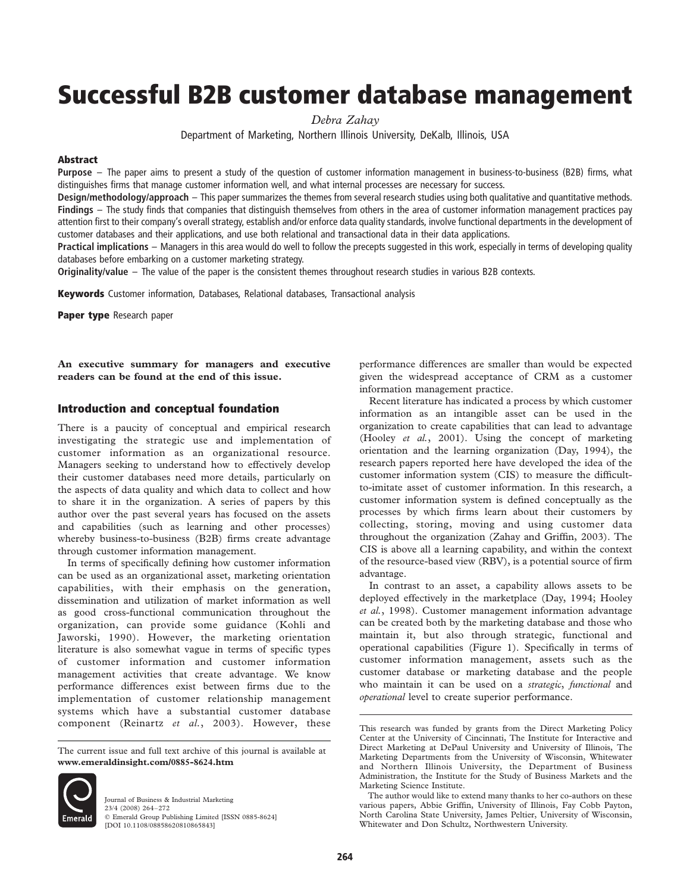# Successful B2B customer database management

Debra Zahay

Department of Marketing, Northern Illinois University, DeKalb, Illinois, USA

# Abstract

Purpose – The paper aims to present a study of the question of customer information management in business-to-business (B2B) firms, what distinguishes firms that manage customer information well, and what internal processes are necessary for success.

Design/methodology/approach – This paper summarizes the themes from several research studies using both qualitative and quantitative methods. Findings – The study finds that companies that distinguish themselves from others in the area of customer information management practices pay attention first to their company's overall strategy, establish and/or enforce data quality standards, involve functional departments in the development of customer databases and their applications, and use both relational and transactional data in their data applications.

Practical implications – Managers in this area would do well to follow the precepts suggested in this work, especially in terms of developing quality databases before embarking on a customer marketing strategy.

Originality/value – The value of the paper is the consistent themes throughout research studies in various B2B contexts.

Keywords Customer information, Databases, Relational databases, Transactional analysis

Paper type Research paper

An executive summary for managers and executive readers can be found at the end of this issue.

# Introduction and conceptual foundation

There is a paucity of conceptual and empirical research investigating the strategic use and implementation of customer information as an organizational resource. Managers seeking to understand how to effectively develop their customer databases need more details, particularly on the aspects of data quality and which data to collect and how to share it in the organization. A series of papers by this author over the past several years has focused on the assets and capabilities (such as learning and other processes) whereby business-to-business (B2B) firms create advantage through customer information management.

In terms of specifically defining how customer information can be used as an organizational asset, marketing orientation capabilities, with their emphasis on the generation, dissemination and utilization of market information as well as good cross-functional communication throughout the organization, can provide some guidance (Kohli and Jaworski, 1990). However, the marketing orientation literature is also somewhat vague in terms of specific types of customer information and customer information management activities that create advantage. We know performance differences exist between firms due to the implementation of customer relationship management systems which have a substantial customer database component (Reinartz et al., 2003). However, these

The current issue and full text archive of this journal is available at www.emeraldinsight.com/0885-8624.htm



Journal of Business & Industrial Marketing 23/4 (2008) 264–272 q Emerald Group Publishing Limited [ISSN 0885-8624] [DOI 10.1108/08858620810865843]

performance differences are smaller than would be expected given the widespread acceptance of CRM as a customer information management practice.

Recent literature has indicated a process by which customer information as an intangible asset can be used in the organization to create capabilities that can lead to advantage (Hooley et al., 2001). Using the concept of marketing orientation and the learning organization (Day, 1994), the research papers reported here have developed the idea of the customer information system (CIS) to measure the difficultto-imitate asset of customer information. In this research, a customer information system is defined conceptually as the processes by which firms learn about their customers by collecting, storing, moving and using customer data throughout the organization (Zahay and Griffin, 2003). The CIS is above all a learning capability, and within the context of the resource-based view (RBV), is a potential source of firm advantage.

In contrast to an asset, a capability allows assets to be deployed effectively in the marketplace (Day, 1994; Hooley et al., 1998). Customer management information advantage can be created both by the marketing database and those who maintain it, but also through strategic, functional and operational capabilities (Figure 1). Specifically in terms of customer information management, assets such as the customer database or marketing database and the people who maintain it can be used on a *strategic*, *functional* and operational level to create superior performance.

This research was funded by grants from the Direct Marketing Policy Center at the University of Cincinnati, The Institute for Interactive and Direct Marketing at DePaul University and University of Illinois, The Marketing Departments from the University of Wisconsin, Whitewater and Northern Illinois University, the Department of Business Administration, the Institute for the Study of Business Markets and the Marketing Science Institute.

The author would like to extend many thanks to her co-authors on these various papers, Abbie Griffin, University of Illinois, Fay Cobb Payton, North Carolina State University, James Peltier, University of Wisconsin, Whitewater and Don Schultz, Northwestern University.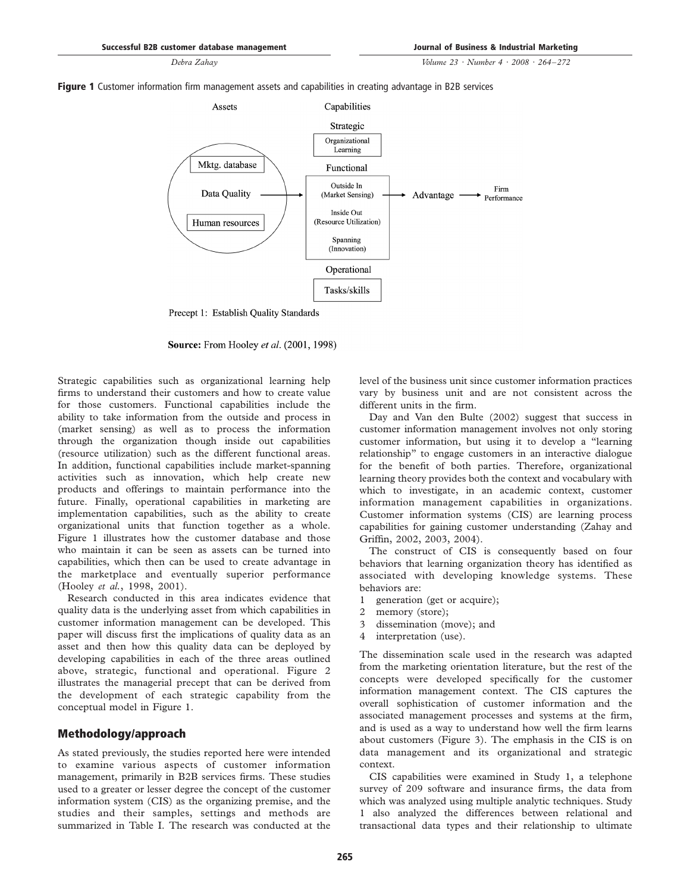



Precept 1: Establish Quality Standards

**Source:** From Hooley et al. (2001, 1998)

Strategic capabilities such as organizational learning help firms to understand their customers and how to create value for those customers. Functional capabilities include the ability to take information from the outside and process in (market sensing) as well as to process the information through the organization though inside out capabilities (resource utilization) such as the different functional areas. In addition, functional capabilities include market-spanning activities such as innovation, which help create new products and offerings to maintain performance into the future. Finally, operational capabilities in marketing are implementation capabilities, such as the ability to create organizational units that function together as a whole. Figure 1 illustrates how the customer database and those who maintain it can be seen as assets can be turned into capabilities, which then can be used to create advantage in the marketplace and eventually superior performance (Hooley et al., 1998, 2001).

Research conducted in this area indicates evidence that quality data is the underlying asset from which capabilities in customer information management can be developed. This paper will discuss first the implications of quality data as an asset and then how this quality data can be deployed by developing capabilities in each of the three areas outlined above, strategic, functional and operational. Figure 2 illustrates the managerial precept that can be derived from the development of each strategic capability from the conceptual model in Figure 1.

# Methodology/approach

As stated previously, the studies reported here were intended to examine various aspects of customer information management, primarily in B2B services firms. These studies used to a greater or lesser degree the concept of the customer information system (CIS) as the organizing premise, and the studies and their samples, settings and methods are summarized in Table I. The research was conducted at the

level of the business unit since customer information practices vary by business unit and are not consistent across the different units in the firm.

Day and Van den Bulte (2002) suggest that success in customer information management involves not only storing customer information, but using it to develop a "learning relationship" to engage customers in an interactive dialogue for the benefit of both parties. Therefore, organizational learning theory provides both the context and vocabulary with which to investigate, in an academic context, customer information management capabilities in organizations. Customer information systems (CIS) are learning process capabilities for gaining customer understanding (Zahay and Griffin, 2002, 2003, 2004).

The construct of CIS is consequently based on four behaviors that learning organization theory has identified as associated with developing knowledge systems. These behaviors are:

- 1 generation (get or acquire);
- 2 memory (store);
- 3 dissemination (move); and
- 4 interpretation (use).

The dissemination scale used in the research was adapted from the marketing orientation literature, but the rest of the concepts were developed specifically for the customer information management context. The CIS captures the overall sophistication of customer information and the associated management processes and systems at the firm, and is used as a way to understand how well the firm learns about customers (Figure 3). The emphasis in the CIS is on data management and its organizational and strategic context.

CIS capabilities were examined in Study 1, a telephone survey of 209 software and insurance firms, the data from which was analyzed using multiple analytic techniques. Study 1 also analyzed the differences between relational and transactional data types and their relationship to ultimate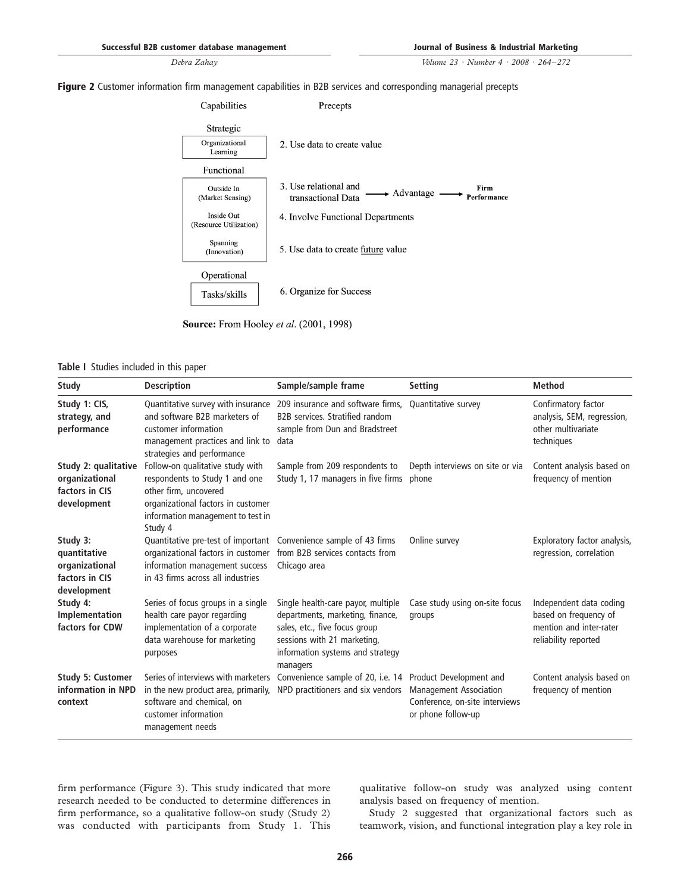Successful B2B customer database management

Debra Zahay

Volume 23 · Number 4 · 2008 · 264 –272

Figure 2 Customer information firm management capabilities in B2B services and corresponding managerial precepts



Source: From Hooley et al. (2001, 1998)

Table I Studies included in this paper

| Study                                                                       | <b>Description</b>                                                                                                                                                                | Sample/sample frame                                                                                                                                                                    | <b>Setting</b>                                                                                                   | <b>Method</b>                                                                                       |
|-----------------------------------------------------------------------------|-----------------------------------------------------------------------------------------------------------------------------------------------------------------------------------|----------------------------------------------------------------------------------------------------------------------------------------------------------------------------------------|------------------------------------------------------------------------------------------------------------------|-----------------------------------------------------------------------------------------------------|
| Study 1: CIS,<br>strategy, and<br>performance                               | Quantitative survey with insurance<br>and software B2B marketers of<br>customer information<br>management practices and link to<br>strategies and performance                     | 209 insurance and software firms,<br>B2B services. Stratified random<br>sample from Dun and Bradstreet<br>data                                                                         | Quantitative survey                                                                                              | Confirmatory factor<br>analysis, SEM, regression,<br>other multivariate<br>techniques               |
| Study 2: qualitative<br>organizational<br>factors in CIS<br>development     | Follow-on qualitative study with<br>respondents to Study 1 and one<br>other firm, uncovered<br>organizational factors in customer<br>information management to test in<br>Study 4 | Sample from 209 respondents to<br>Study 1, 17 managers in five firms                                                                                                                   | Depth interviews on site or via<br>phone                                                                         | Content analysis based on<br>frequency of mention                                                   |
| Study 3:<br>quantitative<br>organizational<br>factors in CIS<br>development | Quantitative pre-test of important  Convenience sample of 43 firms<br>organizational factors in customer<br>information management success<br>in 43 firms across all industries   | from B2B services contacts from<br>Chicago area                                                                                                                                        | Online survey                                                                                                    | Exploratory factor analysis,<br>regression, correlation                                             |
| Study 4:<br>Implementation<br>factors for CDW                               | Series of focus groups in a single<br>health care payor regarding<br>implementation of a corporate<br>data warehouse for marketing<br>purposes                                    | Single health-care payor, multiple<br>departments, marketing, finance,<br>sales, etc., five focus group<br>sessions with 21 marketing,<br>information systems and strategy<br>managers | Case study using on-site focus<br>groups                                                                         | Independent data coding<br>based on frequency of<br>mention and inter-rater<br>reliability reported |
| <b>Study 5: Customer</b><br>information in NPD<br>context                   | Series of interviews with marketers<br>in the new product area, primarily,<br>software and chemical, on<br>customer information<br>management needs                               | Convenience sample of 20, i.e. 14<br>NPD practitioners and six vendors                                                                                                                 | Product Development and<br><b>Management Association</b><br>Conference, on-site interviews<br>or phone follow-up | Content analysis based on<br>frequency of mention                                                   |

firm performance (Figure 3). This study indicated that more research needed to be conducted to determine differences in firm performance, so a qualitative follow-on study (Study 2) was conducted with participants from Study 1. This qualitative follow-on study was analyzed using content analysis based on frequency of mention.

Study 2 suggested that organizational factors such as teamwork, vision, and functional integration play a key role in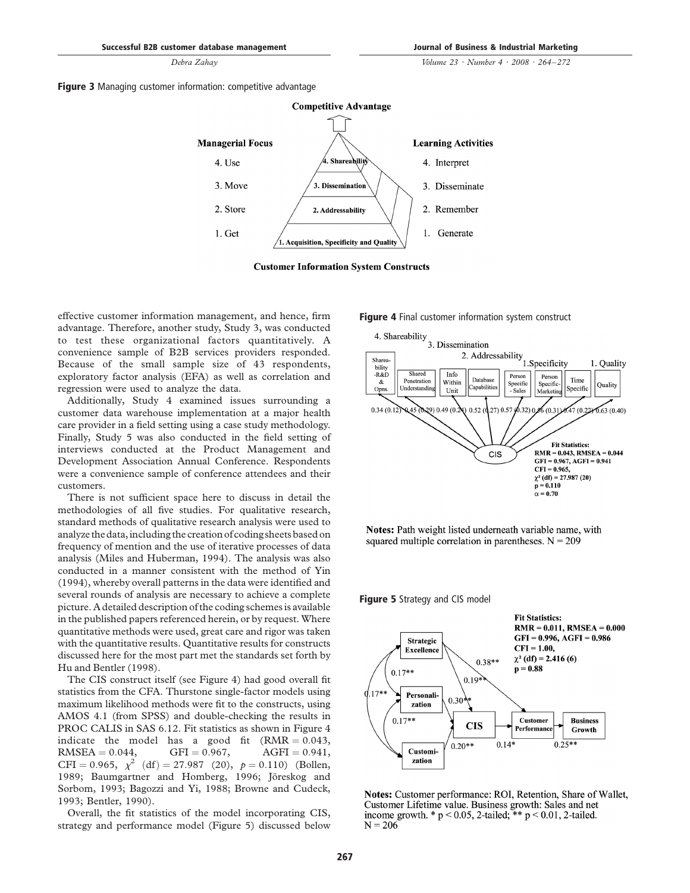Volume 23 · Number 4 · 2008 · 264 –272





**Customer Information System Constructs** 

effective customer information management, and hence, firm advantage. Therefore, another study, Study 3, was conducted to test these organizational factors quantitatively. A convenience sample of B2B services providers responded. Because of the small sample size of 43 respondents, exploratory factor analysis (EFA) as well as correlation and regression were used to analyze the data.

Additionally, Study 4 examined issues surrounding a customer data warehouse implementation at a major health care provider in a field setting using a case study methodology. Finally, Study 5 was also conducted in the field setting of interviews conducted at the Product Management and Development Association Annual Conference. Respondents were a convenience sample of conference attendees and their customers.

There is not sufficient space here to discuss in detail the methodologies of all five studies. For qualitative research, standard methods of qualitative research analysis were used to analyze the data,including the creation of coding sheets based on frequency of mention and the use of iterative processes of data analysis (Miles and Huberman, 1994). The analysis was also conducted in a manner consistent with the method of Yin (1994), whereby overall patterns in the data were identified and several rounds of analysis are necessary to achieve a complete picture. A detailed description of the coding schemes is available in the published papers referenced herein, or by request. Where quantitative methods were used, great care and rigor was taken with the quantitative results. Quantitative results for constructs discussed here for the most part met the standards set forth by Hu and Bentler (1998).

The CIS construct itself (see Figure 4) had good overall fit statistics from the CFA. Thurstone single-factor models using maximum likelihood methods were fit to the constructs, using AMOS 4.1 (from SPSS) and double-checking the results in PROC CALIS in SAS 6.12. Fit statistics as shown in Figure 4 indicate the model has a good fit  $(RMR = 0.043,$  $RMSEA = 0.044, \qquad GFI = 0.967, \qquad AGFI = 0.941,$  $CFI = 0.965$ ,  $\chi^2$  (df) = 27.987 (20),  $p = 0.110$ ) (Bollen, 1989; Baumgartner and Homberg, 1996; Jöreskog and Sorbom, 1993; Bagozzi and Yi, 1988; Browne and Cudeck, 1993; Bentler, 1990).

Overall, the fit statistics of the model incorporating CIS, strategy and performance model (Figure 5) discussed below Figure 4 Final customer information system construct



Notes: Path weight listed underneath variable name, with squared multiple correlation in parentheses.  $N = 209$ 





Notes: Customer performance: ROI, Retention, Share of Wallet, Customer Lifetime value. Business growth: Sales and net<br>income growth. \*  $p < 0.05$ , 2-tailed; \*\*  $p < 0.01$ , 2-tailed.  $N = 206$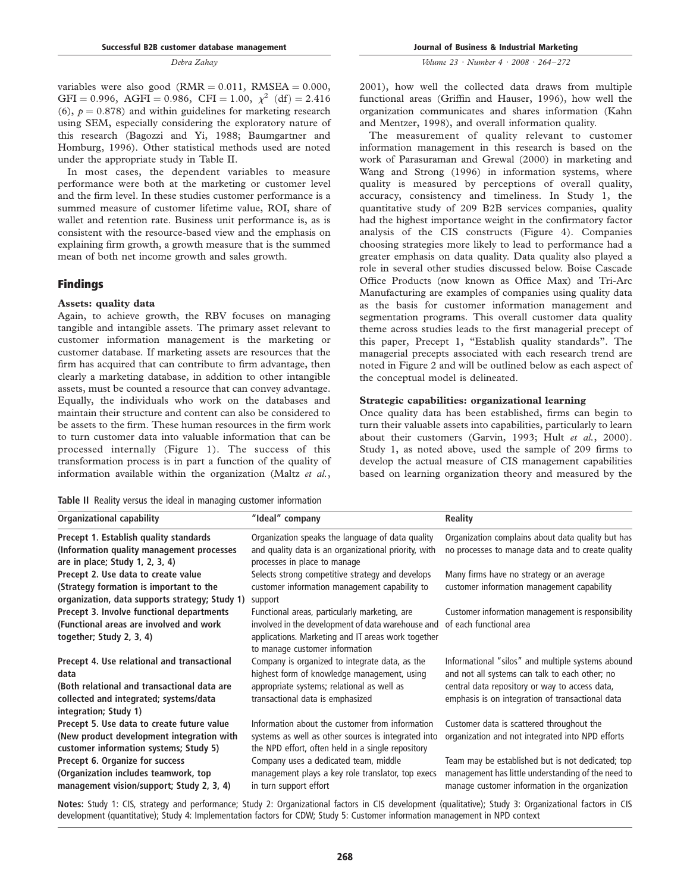Volume 23 · Number 4 · 2008 · 264 –272

variables were also good ( $RMR = 0.011$ ,  $RMSEA = 0.000$ , GFI = 0.996, AGFI = 0.986, CFI = 1.00,  $\chi^2$  (df) = 2.416 (6),  $p = 0.878$ ) and within guidelines for marketing research using SEM, especially considering the exploratory nature of this research (Bagozzi and Yi, 1988; Baumgartner and Homburg, 1996). Other statistical methods used are noted under the appropriate study in Table II.

In most cases, the dependent variables to measure performance were both at the marketing or customer level and the firm level. In these studies customer performance is a summed measure of customer lifetime value, ROI, share of wallet and retention rate. Business unit performance is, as is consistent with the resource-based view and the emphasis on explaining firm growth, a growth measure that is the summed mean of both net income growth and sales growth.

# Findings

## Assets: quality data

Again, to achieve growth, the RBV focuses on managing tangible and intangible assets. The primary asset relevant to customer information management is the marketing or customer database. If marketing assets are resources that the firm has acquired that can contribute to firm advantage, then clearly a marketing database, in addition to other intangible assets, must be counted a resource that can convey advantage. Equally, the individuals who work on the databases and maintain their structure and content can also be considered to be assets to the firm. These human resources in the firm work to turn customer data into valuable information that can be processed internally (Figure 1). The success of this transformation process is in part a function of the quality of information available within the organization (Maltz et al.,

Table II Reality versus the ideal in managing customer information

2001), how well the collected data draws from multiple functional areas (Griffin and Hauser, 1996), how well the organization communicates and shares information (Kahn and Mentzer, 1998), and overall information quality.

The measurement of quality relevant to customer information management in this research is based on the work of Parasuraman and Grewal (2000) in marketing and Wang and Strong (1996) in information systems, where quality is measured by perceptions of overall quality, accuracy, consistency and timeliness. In Study 1, the quantitative study of 209 B2B services companies, quality had the highest importance weight in the confirmatory factor analysis of the CIS constructs (Figure 4). Companies choosing strategies more likely to lead to performance had a greater emphasis on data quality. Data quality also played a role in several other studies discussed below. Boise Cascade Office Products (now known as Office Max) and Tri-Arc Manufacturing are examples of companies using quality data as the basis for customer information management and segmentation programs. This overall customer data quality theme across studies leads to the first managerial precept of this paper, Precept 1, "Establish quality standards". The managerial precepts associated with each research trend are noted in Figure 2 and will be outlined below as each aspect of the conceptual model is delineated.

## Strategic capabilities: organizational learning

Once quality data has been established, firms can begin to turn their valuable assets into capabilities, particularly to learn about their customers (Garvin, 1993; Hult et al., 2000). Study 1, as noted above, used the sample of 209 firms to develop the actual measure of CIS management capabilities based on learning organization theory and measured by the

| Organizational capability                                                                                                                                             | "Ideal" company                                                                                                                                                                                                    | <b>Reality</b>                                                                                                                                                                                            |
|-----------------------------------------------------------------------------------------------------------------------------------------------------------------------|--------------------------------------------------------------------------------------------------------------------------------------------------------------------------------------------------------------------|-----------------------------------------------------------------------------------------------------------------------------------------------------------------------------------------------------------|
| Precept 1. Establish quality standards<br>(Information quality management processes<br>are in place; Study 1, 2, 3, 4)                                                | Organization speaks the language of data quality<br>and quality data is an organizational priority, with<br>processes in place to manage                                                                           | Organization complains about data quality but has<br>no processes to manage data and to create quality                                                                                                    |
| Precept 2. Use data to create value<br>(Strategy formation is important to the<br>organization, data supports strategy; Study 1)                                      | Selects strong competitive strategy and develops<br>customer information management capability to<br>support                                                                                                       | Many firms have no strategy or an average<br>customer information management capability                                                                                                                   |
| Precept 3. Involve functional departments<br>(Functional areas are involved and work<br>together; Study 2, 3, 4)                                                      | Functional areas, particularly marketing, are<br>involved in the development of data warehouse and of each functional area<br>applications. Marketing and IT areas work together<br>to manage customer information | Customer information management is responsibility                                                                                                                                                         |
| Precept 4. Use relational and transactional<br>data<br>(Both relational and transactional data are<br>collected and integrated; systems/data<br>integration; Study 1) | Company is organized to integrate data, as the<br>highest form of knowledge management, using<br>appropriate systems; relational as well as<br>transactional data is emphasized                                    | Informational "silos" and multiple systems abound<br>and not all systems can talk to each other; no<br>central data repository or way to access data,<br>emphasis is on integration of transactional data |
| Precept 5. Use data to create future value<br>(New product development integration with<br>customer information systems; Study 5)                                     | Information about the customer from information<br>systems as well as other sources is integrated into<br>the NPD effort, often held in a single repository                                                        | Customer data is scattered throughout the<br>organization and not integrated into NPD efforts                                                                                                             |
| Precept 6. Organize for success<br>(Organization includes teamwork, top<br>management vision/support; Study 2, 3, 4)                                                  | Company uses a dedicated team, middle<br>management plays a key role translator, top execs<br>in turn support effort                                                                                               | Team may be established but is not dedicated; top<br>management has little understanding of the need to<br>manage customer information in the organization                                                |

Notes: Study 1: CIS, strategy and performance; Study 2: Organizational factors in CIS development (qualitative); Study 3: Organizational factors in CIS development (quantitative); Study 4: Implementation factors for CDW; Study 5: Customer information management in NPD context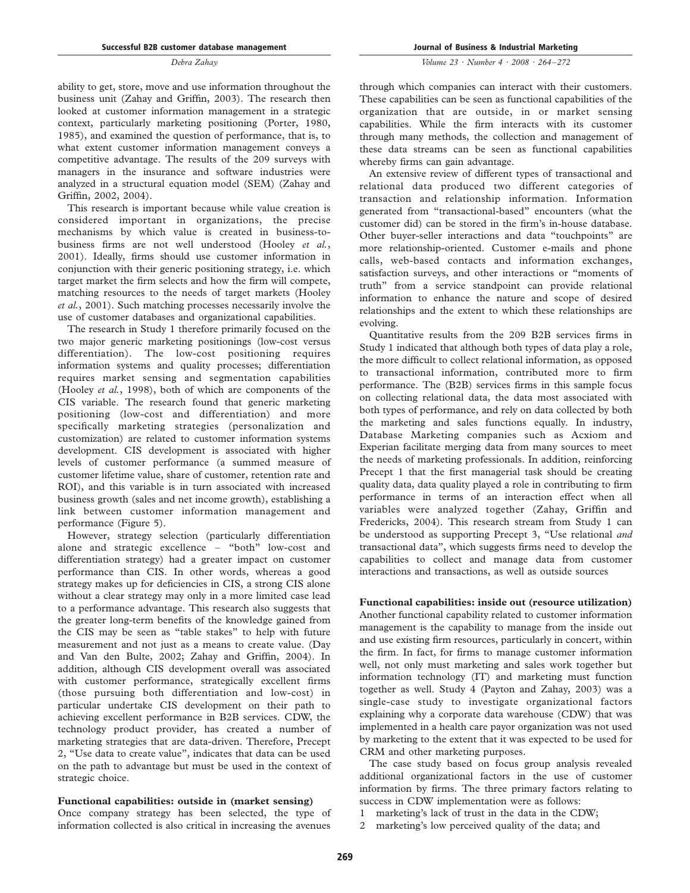ability to get, store, move and use information throughout the business unit (Zahay and Griffin, 2003). The research then looked at customer information management in a strategic context, particularly marketing positioning (Porter, 1980, 1985), and examined the question of performance, that is, to what extent customer information management conveys a competitive advantage. The results of the 209 surveys with managers in the insurance and software industries were analyzed in a structural equation model (SEM) (Zahay and Griffin, 2002, 2004).

This research is important because while value creation is considered important in organizations, the precise mechanisms by which value is created in business-tobusiness firms are not well understood (Hooley et al., 2001). Ideally, firms should use customer information in conjunction with their generic positioning strategy, i.e. which target market the firm selects and how the firm will compete, matching resources to the needs of target markets (Hooley et al., 2001). Such matching processes necessarily involve the use of customer databases and organizational capabilities.

The research in Study 1 therefore primarily focused on the two major generic marketing positionings (low-cost versus differentiation). The low-cost positioning requires information systems and quality processes; differentiation requires market sensing and segmentation capabilities (Hooley et al., 1998), both of which are components of the CIS variable. The research found that generic marketing positioning (low-cost and differentiation) and more specifically marketing strategies (personalization and customization) are related to customer information systems development. CIS development is associated with higher levels of customer performance (a summed measure of customer lifetime value, share of customer, retention rate and ROI), and this variable is in turn associated with increased business growth (sales and net income growth), establishing a link between customer information management and performance (Figure 5).

However, strategy selection (particularly differentiation alone and strategic excellence – "both" low-cost and differentiation strategy) had a greater impact on customer performance than CIS. In other words, whereas a good strategy makes up for deficiencies in CIS, a strong CIS alone without a clear strategy may only in a more limited case lead to a performance advantage. This research also suggests that the greater long-term benefits of the knowledge gained from the CIS may be seen as "table stakes" to help with future measurement and not just as a means to create value. (Day and Van den Bulte, 2002; Zahay and Griffin, 2004). In addition, although CIS development overall was associated with customer performance, strategically excellent firms (those pursuing both differentiation and low-cost) in particular undertake CIS development on their path to achieving excellent performance in B2B services. CDW, the technology product provider, has created a number of marketing strategies that are data-driven. Therefore, Precept 2, "Use data to create value", indicates that data can be used on the path to advantage but must be used in the context of strategic choice.

# Functional capabilities: outside in (market sensing)

Once company strategy has been selected, the type of information collected is also critical in increasing the avenues

Volume 23 · Number 4 · 2008 · 264 –272

through which companies can interact with their customers. These capabilities can be seen as functional capabilities of the organization that are outside, in or market sensing capabilities. While the firm interacts with its customer through many methods, the collection and management of these data streams can be seen as functional capabilities whereby firms can gain advantage.

An extensive review of different types of transactional and relational data produced two different categories of transaction and relationship information. Information generated from "transactional-based" encounters (what the customer did) can be stored in the firm's in-house database. Other buyer-seller interactions and data "touchpoints" are more relationship-oriented. Customer e-mails and phone calls, web-based contacts and information exchanges, satisfaction surveys, and other interactions or "moments of truth" from a service standpoint can provide relational information to enhance the nature and scope of desired relationships and the extent to which these relationships are evolving.

Quantitative results from the 209 B2B services firms in Study 1 indicated that although both types of data play a role, the more difficult to collect relational information, as opposed to transactional information, contributed more to firm performance. The (B2B) services firms in this sample focus on collecting relational data, the data most associated with both types of performance, and rely on data collected by both the marketing and sales functions equally. In industry, Database Marketing companies such as Acxiom and Experian facilitate merging data from many sources to meet the needs of marketing professionals. In addition, reinforcing Precept 1 that the first managerial task should be creating quality data, data quality played a role in contributing to firm performance in terms of an interaction effect when all variables were analyzed together (Zahay, Griffin and Fredericks, 2004). This research stream from Study 1 can be understood as supporting Precept 3, "Use relational and transactional data", which suggests firms need to develop the capabilities to collect and manage data from customer interactions and transactions, as well as outside sources

#### Functional capabilities: inside out (resource utilization)

Another functional capability related to customer information management is the capability to manage from the inside out and use existing firm resources, particularly in concert, within the firm. In fact, for firms to manage customer information well, not only must marketing and sales work together but information technology (IT) and marketing must function together as well. Study 4 (Payton and Zahay, 2003) was a single-case study to investigate organizational factors explaining why a corporate data warehouse (CDW) that was implemented in a health care payor organization was not used by marketing to the extent that it was expected to be used for CRM and other marketing purposes.

The case study based on focus group analysis revealed additional organizational factors in the use of customer information by firms. The three primary factors relating to success in CDW implementation were as follows:

- 1 marketing's lack of trust in the data in the CDW;
- 2 marketing's low perceived quality of the data; and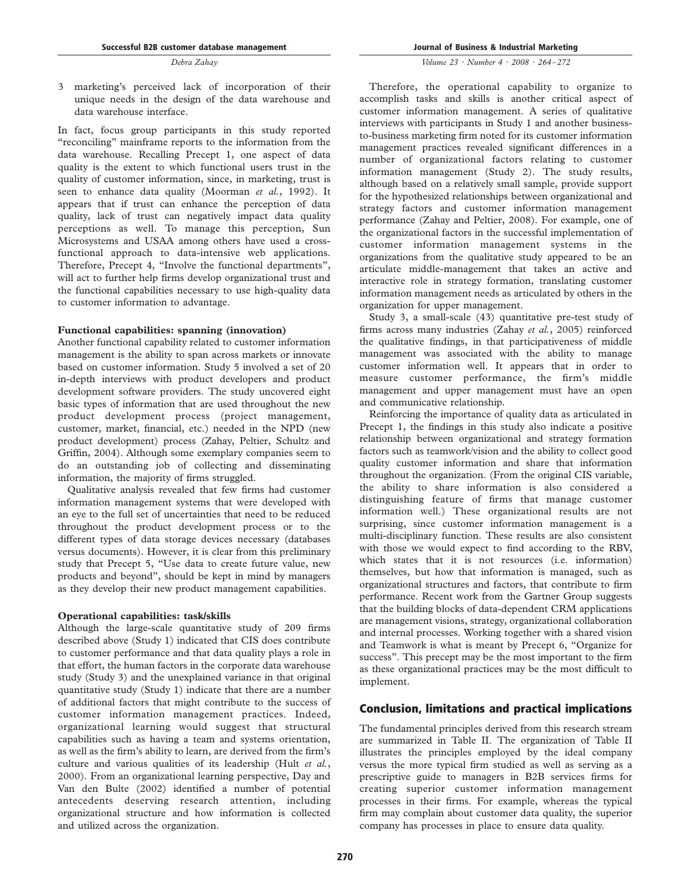3 marketing's perceived lack of incorporation of their unique needs in the design of the data warehouse and data warehouse interface.

In fact, focus group participants in this study reported "reconciling" mainframe reports to the information from the data warehouse. Recalling Precept 1, one aspect of data quality is the extent to which functional users trust in the quality of customer information, since, in marketing, trust is seen to enhance data quality (Moorman et al., 1992). It appears that if trust can enhance the perception of data quality, lack of trust can negatively impact data quality perceptions as well. To manage this perception, Sun Microsystems and USAA among others have used a crossfunctional approach to data-intensive web applications. Therefore, Precept 4, "Involve the functional departments", will act to further help firms develop organizational trust and the functional capabilities necessary to use high-quality data to customer information to advantage.

## Functional capabilities: spanning (innovation)

Another functional capability related to customer information management is the ability to span across markets or innovate based on customer information. Study 5 involved a set of 20 in-depth interviews with product developers and product development software providers. The study uncovered eight basic types of information that are used throughout the new product development process (project management, customer, market, financial, etc.) needed in the NPD (new product development) process (Zahay, Peltier, Schultz and Griffin, 2004). Although some exemplary companies seem to do an outstanding job of collecting and disseminating information, the majority of firms struggled.

Qualitative analysis revealed that few firms had customer information management systems that were developed with an eye to the full set of uncertainties that need to be reduced throughout the product development process or to the different types of data storage devices necessary (databases versus documents). However, it is clear from this preliminary study that Precept 5, "Use data to create future value, new products and beyond", should be kept in mind by managers as they develop their new product management capabilities.

# Operational capabilities: task/skills

Although the large-scale quantitative study of 209 firms described above (Study 1) indicated that CIS does contribute to customer performance and that data quality plays a role in that effort, the human factors in the corporate data warehouse study (Study 3) and the unexplained variance in that original quantitative study (Study 1) indicate that there are a number of additional factors that might contribute to the success of customer information management practices. Indeed, organizational learning would suggest that structural capabilities such as having a team and systems orientation, as well as the firm's ability to learn, are derived from the firm's culture and various qualities of its leadership (Hult et al., 2000). From an organizational learning perspective, Day and Van den Bulte (2002) identified a number of potential antecedents deserving research attention, including organizational structure and how information is collected and utilized across the organization.

Journal of Business & Industrial Marketing

## Volume 23 · Number 4 · 2008 · 264 –272

Therefore, the operational capability to organize to accomplish tasks and skills is another critical aspect of customer information management. A series of qualitative interviews with participants in Study 1 and another businessto-business marketing firm noted for its customer information management practices revealed significant differences in a number of organizational factors relating to customer information management (Study 2). The study results, although based on a relatively small sample, provide support for the hypothesized relationships between organizational and strategy factors and customer information management performance (Zahay and Peltier, 2008). For example, one of the organizational factors in the successful implementation of customer information management systems in the organizations from the qualitative study appeared to be an articulate middle-management that takes an active and interactive role in strategy formation, translating customer information management needs as articulated by others in the organization for upper management.

Study 3, a small-scale (43) quantitative pre-test study of firms across many industries (Zahay et al., 2005) reinforced the qualitative findings, in that participativeness of middle management was associated with the ability to manage customer information well. It appears that in order to measure customer performance, the firm's middle management and upper management must have an open and communicative relationship.

Reinforcing the importance of quality data as articulated in Precept 1, the findings in this study also indicate a positive relationship between organizational and strategy formation factors such as teamwork/vision and the ability to collect good quality customer information and share that information throughout the organization. (From the original CIS variable, the ability to share information is also considered a distinguishing feature of firms that manage customer information well.) These organizational results are not surprising, since customer information management is a multi-disciplinary function. These results are also consistent with those we would expect to find according to the RBV, which states that it is not resources (i.e. information) themselves, but how that information is managed, such as organizational structures and factors, that contribute to firm performance. Recent work from the Gartner Group suggests that the building blocks of data-dependent CRM applications are management visions, strategy, organizational collaboration and internal processes. Working together with a shared vision and Teamwork is what is meant by Precept 6, "Organize for success". This precept may be the most important to the firm as these organizational practices may be the most difficult to implement.

# Conclusion, limitations and practical implications

The fundamental principles derived from this research stream are summarized in Table II. The organization of Table II illustrates the principles employed by the ideal company versus the more typical firm studied as well as serving as a prescriptive guide to managers in B2B services firms for creating superior customer information management processes in their firms. For example, whereas the typical firm may complain about customer data quality, the superior company has processes in place to ensure data quality.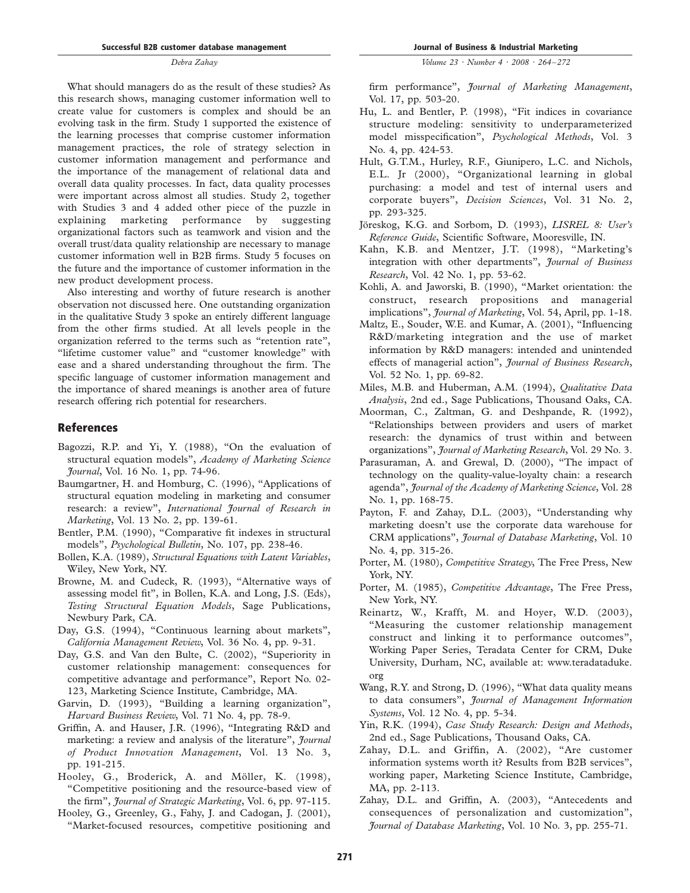What should managers do as the result of these studies? As this research shows, managing customer information well to create value for customers is complex and should be an evolving task in the firm. Study 1 supported the existence of the learning processes that comprise customer information management practices, the role of strategy selection in customer information management and performance and the importance of the management of relational data and overall data quality processes. In fact, data quality processes were important across almost all studies. Study 2, together with Studies 3 and 4 added other piece of the puzzle in explaining marketing performance by suggesting organizational factors such as teamwork and vision and the overall trust/data quality relationship are necessary to manage customer information well in B2B firms. Study 5 focuses on the future and the importance of customer information in the new product development process.

Also interesting and worthy of future research is another observation not discussed here. One outstanding organization in the qualitative Study 3 spoke an entirely different language from the other firms studied. At all levels people in the organization referred to the terms such as "retention rate", "lifetime customer value" and "customer knowledge" with ease and a shared understanding throughout the firm. The specific language of customer information management and the importance of shared meanings is another area of future research offering rich potential for researchers.

# References

- Bagozzi, R.P. and Yi, Y. (1988), "On the evaluation of structural equation models", Academy of Marketing Science Journal, Vol. 16 No. 1, pp. 74-96.
- Baumgartner, H. and Homburg, C. (1996), "Applications of structural equation modeling in marketing and consumer research: a review", International Journal of Research in Marketing, Vol. 13 No. 2, pp. 139-61.
- Bentler, P.M. (1990), "Comparative fit indexes in structural models", Psychological Bulletin, No. 107, pp. 238-46.
- Bollen, K.A. (1989), Structural Equations with Latent Variables, Wiley, New York, NY.
- Browne, M. and Cudeck, R. (1993), "Alternative ways of assessing model fit", in Bollen, K.A. and Long, J.S. (Eds), Testing Structural Equation Models, Sage Publications, Newbury Park, CA.
- Day, G.S. (1994), "Continuous learning about markets", California Management Review, Vol. 36 No. 4, pp. 9-31.
- Day, G.S. and Van den Bulte, C. (2002), "Superiority in customer relationship management: consequences for competitive advantage and performance", Report No. 02- 123, Marketing Science Institute, Cambridge, MA.
- Garvin, D. (1993), "Building a learning organization", Harvard Business Review, Vol. 71 No. 4, pp. 78-9.
- Griffin, A. and Hauser, J.R. (1996), "Integrating R&D and marketing: a review and analysis of the literature", *Journal* of Product Innovation Management, Vol. 13 No. 3, pp. 191-215.
- Hooley, G., Broderick, A. and Möller, K. (1998), "Competitive positioning and the resource-based view of the firm", *Journal of Strategic Marketing*, Vol. 6, pp. 97-115.
- Hooley, G., Greenley, G., Fahy, J. and Cadogan, J. (2001), "Market-focused resources, competitive positioning and

Volume 23 · Number 4 · 2008 · 264 –272

firm performance", Journal of Marketing Management, Vol. 17, pp. 503-20.

- Hu, L. and Bentler, P. (1998), "Fit indices in covariance structure modeling: sensitivity to underparameterized model misspecification", Psychological Methods, Vol. 3 No. 4, pp. 424-53.
- Hult, G.T.M., Hurley, R.F., Giunipero, L.C. and Nichols, E.L. Jr (2000), "Organizational learning in global purchasing: a model and test of internal users and corporate buyers", Decision Sciences, Vol. 31 No. 2, pp. 293-325.
- Jöreskog, K.G. and Sorbom, D. (1993), LISREL 8: User's Reference Guide, Scientific Software, Mooresville, IN.
- Kahn, K.B. and Mentzer, J.T. (1998), "Marketing's integration with other departments", Journal of Business Research, Vol. 42 No. 1, pp. 53-62.
- Kohli, A. and Jaworski, B. (1990), "Market orientation: the construct, research propositions and managerial implications", *Journal of Marketing*, Vol. 54, April, pp. 1-18.
- Maltz, E., Souder, W.E. and Kumar, A. (2001), "Influencing R&D/marketing integration and the use of market information by R&D managers: intended and unintended effects of managerial action", Journal of Business Research, Vol. 52 No. 1, pp. 69-82.
- Miles, M.B. and Huberman, A.M. (1994), Qualitative Data Analysis, 2nd ed., Sage Publications, Thousand Oaks, CA.
- Moorman, C., Zaltman, G. and Deshpande, R. (1992), "Relationships between providers and users of market research: the dynamics of trust within and between organizations", Journal of Marketing Research, Vol. 29 No. 3.
- Parasuraman, A. and Grewal, D. (2000), "The impact of technology on the quality-value-loyalty chain: a research agenda", Journal of the Academy of Marketing Science, Vol. 28 No. 1, pp. 168-75.
- Payton, F. and Zahay, D.L. (2003), "Understanding why marketing doesn't use the corporate data warehouse for CRM applications", Journal of Database Marketing, Vol. 10 No. 4, pp. 315-26.
- Porter, M. (1980), Competitive Strategy, The Free Press, New York, NY.
- Porter, M. (1985), Competitive Advantage, The Free Press, New York, NY.
- Reinartz, W., Krafft, M. and Hoyer, W.D. (2003), "Measuring the customer relationship management construct and linking it to performance outcomes", Working Paper Series, Teradata Center for CRM, Duke University, Durham, NC, available at: www.teradataduke. org
- Wang, R.Y. and Strong, D. (1996), "What data quality means to data consumers", Journal of Management Information Systems, Vol. 12 No. 4, pp. 5-34.
- Yin, R.K. (1994), Case Study Research: Design and Methods, 2nd ed., Sage Publications, Thousand Oaks, CA.
- Zahay, D.L. and Griffin, A. (2002), "Are customer information systems worth it? Results from B2B services", working paper, Marketing Science Institute, Cambridge, MA, pp. 2-113.
- Zahay, D.L. and Griffin, A. (2003), "Antecedents and consequences of personalization and customization", Journal of Database Marketing, Vol. 10 No. 3, pp. 255-71.